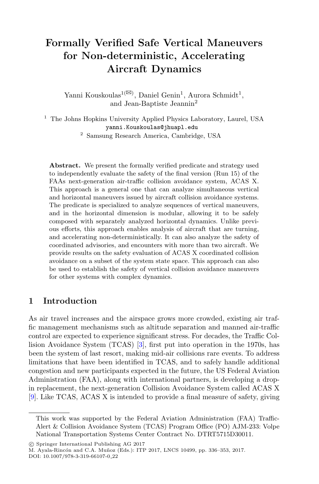# **Formally Verified Safe Vertical Maneuvers for Non-deterministic, Accelerating Aircraft Dynamics**

Yanni Kouskoulas<sup>1( $\boxtimes$ )</sup>, Daniel Genin<sup>1</sup>, Aurora Schmidt<sup>1</sup>, and Jean-Baptiste Jeannin<sup>2</sup>

<sup>1</sup> The Johns Hopkins University Applied Physics Laboratory, Laurel, USA yanni.Kouskoulas@jhuapl.edu <sup>2</sup> Samsung Research America, Cambridge, USA

**Abstract.** We present the formally verified predicate and strategy used to independently evaluate the safety of the final version (Run 15) of the FAAs next-generation air-traffic collision avoidance system, ACAS X. This approach is a general one that can analyze simultaneous vertical and horizontal maneuvers issued by aircraft collision avoidance systems. The predicate is specialized to analyze sequences of vertical maneuvers, and in the horizontal dimension is modular, allowing it to be safely composed with separately analyzed horizontal dynamics. Unlike previous efforts, this approach enables analysis of aircraft that are turning, and accelerating non-deterministically. It can also analyze the safety of coordinated advisories, and encounters with more than two aircraft. We provide results on the safety evaluation of ACAS X coordinated collision avoidance on a subset of the system state space. This approach can also be used to establish the safety of vertical collision avoidance maneuvers for other systems with complex dynamics.

## **1 Introduction**

As air travel increases and the airspace grows more crowded, existing air traffic management mechanisms such as altitude separation and manned air-traffic control are expected to experience significant stress. For decades, the Traffic Collision Avoidance System (TCAS) [\[3](#page-16-0)], first put into operation in the 1970s, has been the system of last resort, making mid-air collisions rare events. To address limitations that have been identified in TCAS, and to safely handle additional congestion and new participants expected in the future, the US Federal Aviation Administration (FAA), along with international partners, is developing a dropin replacement, the next-generation Collision Avoidance System called ACAS X [\[9](#page-16-1)]. Like TCAS, ACAS X is intended to provide a final measure of safety, giving

This work was supported by the Federal Aviation Administration (FAA) Traffic-Alert & Collision Avoidance System (TCAS) Program Office (PO) AJM-233: Volpe National Transportation Systems Center Contract No. DTRT5715D30011.

<sup>-</sup>c Springer International Publishing AG 2017

M. Ayala-Rincón and C.A. Muñoz (Eds.): ITP 2017, LNCS 10499, pp. 336–353, 2017. DOI: 10.1007/978-3-319-66107-0 22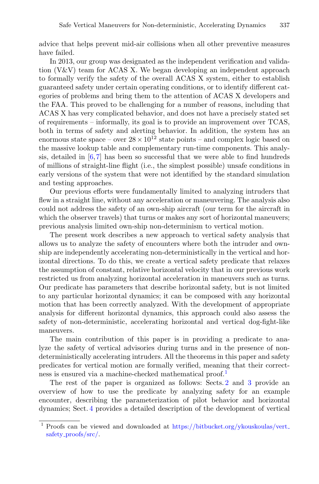advice that helps prevent mid-air collisions when all other preventive measures have failed.

In 2013, our group was designated as the independent verification and validation  $(V&V)$  team for ACAS X. We began developing an independent approach to formally verify the safety of the overall ACAS X system, either to establish guaranteed safety under certain operating conditions, or to identify different categories of problems and bring them to the attention of ACAS X developers and the FAA. This proved to be challenging for a number of reasons, including that ACAS X has very complicated behavior, and does not have a precisely stated set of requirements – informally, its goal is to provide an improvement over TCAS, both in terms of safety and alerting behavior. In addition, the system has an enormous state space – over  $28 \times 10^{12}$  state points – and complex logic based on the massive lookup table and complementary run-time components. This analysis, detailed in  $[6,7]$  $[6,7]$  $[6,7]$  has been so successful that we were able to find hundreds of millions of straight-line flight (i.e., the simplest possible) unsafe conditions in early versions of the system that were not identified by the standard simulation and testing approaches.

Our previous efforts were fundamentally limited to analyzing intruders that flew in a straight line, without any acceleration or maneuvering. The analysis also could not address the safety of an own-ship aircraft (our term for the aircraft in which the observer travels) that turns or makes any sort of horizontal maneuvers; previous analysis limited own-ship non-determinism to vertical motion.

The present work describes a new approach to vertical safety analysis that allows us to analyze the safety of encounters where both the intruder and ownship are independently accelerating non-deterministically in the vertical and horizontal directions. To do this, we create a vertical safety predicate that relaxes the assumption of constant, relative horizontal velocity that in our previous work restricted us from analyzing horizontal acceleration in maneuvers such as turns. Our predicate has parameters that describe horizontal safety, but is not limited to any particular horizontal dynamics; it can be composed with any horizontal motion that has been correctly analyzed. With the development of appropriate analysis for different horizontal dynamics, this approach could also assess the safety of non-deterministic, accelerating horizontal and vertical dog-fight-like maneuvers.

The main contribution of this paper is in providing a predicate to analyze the safety of vertical advisories during turns and in the presence of nondeterministically accelerating intruders. All the theorems in this paper and safety predicates for vertical motion are formally verified, meaning that their correct-ness is ensured via a machine-checked mathematical proof.<sup>[1](#page-1-0)</sup>

The rest of the paper is organized as follows: Sects. [2](#page-2-0) and [3](#page-6-0) provide an overview of how to use the predicate by analyzing safety for an example encounter, describing the parameterization of pilot behavior and horizontal dynamics; Sect. [4](#page-7-0) provides a detailed description of the development of vertical

<span id="page-1-0"></span><sup>1</sup> Proofs can be viewed and downloaded at [https://bitbucket.org/ykouskoulas/vert](https://bitbucket.org/ykouskoulas/vert_safety_proofs/src/) safety [proofs/src/.](https://bitbucket.org/ykouskoulas/vert_safety_proofs/src/)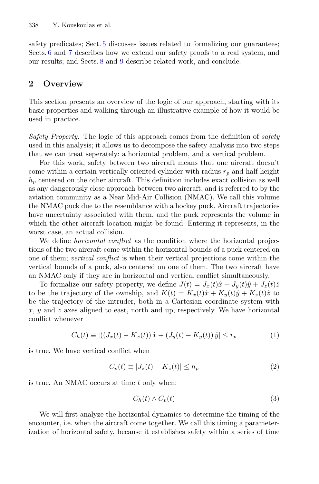safety predicates; Sect. [5](#page-12-0) discusses issues related to formalizing our guarantees; Sects. [6](#page-12-1) and [7](#page-13-0) describes how we extend our safety proofs to a real system, and our results; and Sects. [8](#page-15-0) and [9](#page-15-1) describe related work, and conclude.

## <span id="page-2-0"></span>**2 Overview**

This section presents an overview of the logic of our approach, starting with its basic properties and walking through an illustrative example of how it would be used in practice.

*Safety Property.* The logic of this approach comes from the definition of *safety* used in this analysis; it allows us to decompose the safety analysis into two steps that we can treat seperately: a horizontal problem, and a vertical problem.

For this work, safety between two aircraft means that one aircraft doesn't come within a certain vertically oriented cylinder with radius  $r_p$  and half-height  $h_p$  centered on the other aircraft. This definition includes exact collision as well as any dangerously close approach between two aircraft, and is referred to by the aviation community as a Near Mid-Air Collision (NMAC). We call this volume the NMAC puck due to the resemblance with a hockey puck. Aircraft trajectories have uncertainty associated with them, and the puck represents the volume in which the other aircraft location might be found. Entering it represents, in the worst case, an actual collision.

We define *horizontal conflict* as the condition where the horizontal projections of the two aircraft come within the horizontal bounds of a puck centered on one of them; *vertical conflict* is when their vertical projections come within the vertical bounds of a puck, also centered on one of them. The two aircraft have an NMAC only if they are in horizontal and vertical conflict simultaneously.

To formalize our safety property, we define  $J(t) = J_x(t)\hat{x} + J_y(t)\hat{y} + J_z(t)\hat{z}$ to be the trajectory of the ownship, and  $K(t) = K_x(t)\hat{x} + K_y(t)\hat{y} + K_z(t)\hat{z}$  to be the trajectory of the intruder, both in a Cartesian coordinate system with  $x, y$  and z axes aligned to east, north and up, respectively. We have horizontal conflict whenever

$$
C_h(t) \equiv |((J_x(t) - K_x(t))\hat{x} + (J_y(t) - K_y(t))\hat{y}| \le r_p \tag{1}
$$

<span id="page-2-1"></span>is true. We have vertical conflict when

$$
C_v(t) \equiv |J_z(t) - K_z(t)| \le h_p \tag{2}
$$

is true. An NMAC occurs at time  $t$  only when:

<span id="page-2-2"></span>
$$
C_h(t) \wedge C_v(t) \tag{3}
$$

We will first analyze the horizontal dynamics to determine the timing of the encounter, i.e. when the aircraft come together. We call this timing a parameterization of horizontal safety, because it establishes safety within a series of time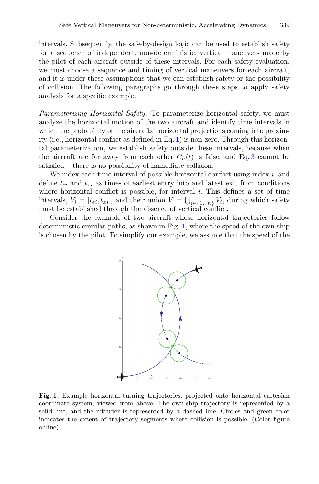intervals. Subsequently, the safe-by-design logic can be used to establish safety for a sequence of independent, non-deterministic, vertical maneuvers made by the pilot of each aircraft outside of these intervals. For each safety evaluation, we must choose a sequence and timing of vertical maneuvers for each aircraft, and it is under these assumptions that we can establish safety or the possibility of collision. The following paragraphs go through these steps to apply safety analysis for a specific example.

*Parameterizing Horizontal Safety.* To parameterize horizontal safety, we must analyze the horizontal motion of the two aircraft and identify time intervals in which the probability of the aircrafts' horizontal projections coming into proximity (i.e., horizontal conflict as defined in Eq. [1\)](#page-2-1) is non-zero. Through this horizontal parameterization, we establish safety outside these intervals, because when the aircraft are far away from each other  $C_h(t)$  is false, and Eq. [3](#page-2-2) cannot be satisfied – there is no possibility of immediate collision.

We index each time interval of possible horizontal conflict using index  $i$ , and define  $t_{ei}$  and  $t_{xi}$  as times of earliest entry into and latest exit from conditions where horizontal conflict is possible, for interval  $i$ . This defines a set of time intervals,  $V_i = [t_{ei}, t_{xi}]$ , and their union  $V = \bigcup_{i \in \{1...n\}} V_i$ , during which safety must be established through the absence of vertical conflict.

Consider the example of two aircraft whose horizontal trajectories follow deterministic circular paths, as shown in Fig. [1,](#page-3-0) where the speed of the own-ship is chosen by the pilot. To simplify our example, we assume that the speed of the



<span id="page-3-0"></span>**Fig. 1.** Example horizontal turning trajectories, projected onto horizontal cartesian coordinate system, viewed from above. The own-ship trajectory is represented by a solid line, and the intruder is represented by a dashed line. Circles and green color indicates the extent of trajectory segments where collision is possible. (Color figure online)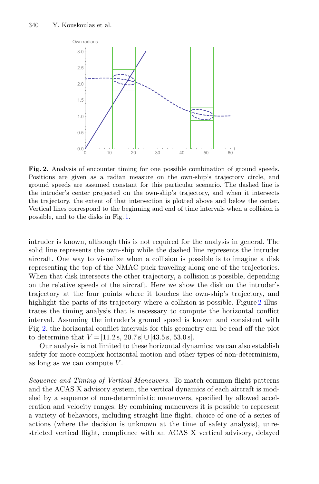

<span id="page-4-0"></span>**Fig. 2.** Analysis of encounter timing for one possible combination of ground speeds. Positions are given as a radian measure on the own-ship's trajectory circle, and ground speeds are assumed constant for this particular scenario. The dashed line is the intruder's center projected on the own-ship's trajectory, and when it intersects the trajectory, the extent of that intersection is plotted above and below the center. Vertical lines correspond to the beginning and end of time intervals when a collision is possible, and to the disks in Fig. [1.](#page-3-0)

intruder is known, although this is not required for the analysis in general. The solid line represents the own-ship while the dashed line represents the intruder aircraft. One way to visualize when a collision is possible is to imagine a disk representing the top of the NMAC puck traveling along one of the trajectories. When that disk intersects the other trajectory, a collision is possible, depending on the relative speeds of the aircraft. Here we show the disk on the intruder's trajectory at the four points where it touches the own-ship's trajectory, and highlight the parts of its trajectory where a collision is possible. Figure [2](#page-4-0) illustrates the timing analysis that is necessary to compute the horizontal conflict interval. Assuming the intruder's ground speed is known and consistent with Fig. [2,](#page-4-0) the horizontal conflict intervals for this geometry can be read off the plot to determine that  $V = [11.2 \text{ s}, 20.7 \text{ s}] \cup [43.5 \text{ s}, 53.0 \text{ s}]$ .

Our analysis is not limited to these horizontal dynamics; we can also establish safety for more complex horizontal motion and other types of non-determinism, as long as we can compute  $V$ .

*Sequence and Timing of Vertical Maneuvers.* To match common flight patterns and the ACAS X advisory system, the vertical dynamics of each aircraft is modeled by a sequence of non-deterministic maneuvers, specified by allowed acceleration and velocity ranges. By combining maneuvers it is possible to represent a variety of behaviors, including straight line flight, choice of one of a series of actions (where the decision is unknown at the time of safety analysis), unrestricted vertical flight, compliance with an ACAS X vertical advisory, delayed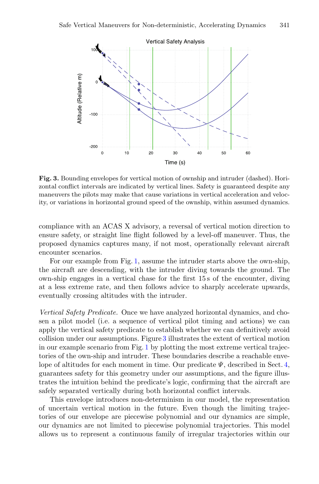

<span id="page-5-0"></span>**Fig. 3.** Bounding envelopes for vertical motion of ownship and intruder (dashed). Horizontal conflict intervals are indicated by vertical lines. Safety is guaranteed despite any maneuvers the pilots may make that cause variations in vertical acceleration and velocity, or variations in horizontal ground speed of the ownship, within assumed dynamics.

compliance with an ACAS X advisory, a reversal of vertical motion direction to ensure safety, or straight line flight followed by a level-off maneuver. Thus, the proposed dynamics captures many, if not most, operationally relevant aircraft encounter scenarios.

For our example from Fig. [1,](#page-3-0) assume the intruder starts above the own-ship, the aircraft are descending, with the intruder diving towards the ground. The own-ship engages in a vertical chase for the first 15 s of the encounter, diving at a less extreme rate, and then follows advice to sharply accelerate upwards, eventually crossing altitudes with the intruder.

*Vertical Safety Predicate.* Once we have analyzed horizontal dynamics, and chosen a pilot model (i.e. a sequence of vertical pilot timing and actions) we can apply the vertical safety predicate to establish whether we can definitively avoid collision under our assumptions. Figure [3](#page-5-0) illustrates the extent of vertical motion in our example scenario from Fig. [1](#page-3-0) by plotting the most extreme vertical trajectories of the own-ship and intruder. These boundaries describe a reachable envelope of altitudes for each moment in time. Our predicate  $\Psi$ , described in Sect. [4,](#page-7-0) guarantees safety for this geometry under our assumptions, and the figure illustrates the intuition behind the predicate's logic, confirming that the aircraft are safely separated vertically during both horizontal conflict intervals.

This envelope introduces non-determinism in our model, the representation of uncertain vertical motion in the future. Even though the limiting trajectories of our envelope are piecewise polynomial and our dynamics are simple, our dynamics are not limited to piecewise polynomial trajectories. This model allows us to represent a continuous family of irregular trajectories within our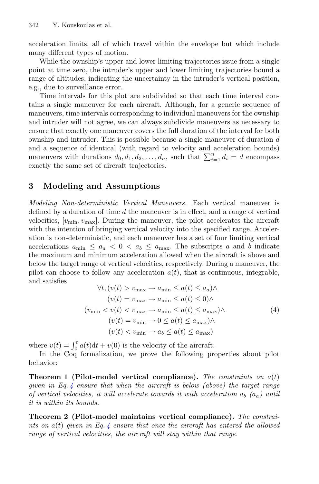acceleration limits, all of which travel within the envelope but which include many different types of motion.

While the ownship's upper and lower limiting trajectories issue from a single point at time zero, the intruder's upper and lower limiting trajectories bound a range of altitudes, indicating the uncertainty in the intruder's vertical position, e.g., due to surveillance error.

Time intervals for this plot are subdivided so that each time interval contains a single maneuver for each aircraft. Although, for a generic sequence of maneuvers, time intervals corresponding to individual maneuvers for the ownship and intruder will not agree, we can always subdivide maneuvers as necessary to ensure that exactly one maneuver covers the full duration of the interval for both ownship and intruder. This is possible because a single maneuver of duration d and a sequence of identical (with regard to velocity and acceleration bounds) maneuvers with durations  $d_0, d_1, d_2, \ldots, d_n$ , such that  $\sum_{i=1}^{n} d_i = d$  encompass exactly the same set of aircraft trajectories.

# <span id="page-6-0"></span>**3 Modeling and Assumptions**

*Modeling Non-deterministic Vertical Maneuvers.* Each vertical maneuver is defined by a duration of time d the maneuver is in effect, and a range of vertical velocities,  $[v_{\text{min}}, v_{\text{max}}]$ . During the maneuver, the pilot accelerates the aircraft with the intention of bringing vertical velocity into the specified range. Acceleration is non-deterministic, and each maneuver has a set of four limiting vertical accelerations  $a_{\min} \le a_a < 0 < a_b \le a_{\max}$ . The subscripts a and b indicate the maximum and minimum acceleration allowed when the aircraft is above and below the target range of vertical velocities, respectively. During a maneuver, the pilot can choose to follow any acceleration  $a(t)$ , that is continuous, integrable, and satisfies

$$
\forall t, (v(t) > v_{\max} \rightarrow a_{\min} \le a(t) \le a_a) \land (v(t) = v_{\max} \rightarrow a_{\min} \le a(t) \le 0) \land (v_{\min} < v(t) < v_{\max} \rightarrow a_{\min} \le a(t) \le a_{\max}) \land (v(t) = v_{\min} \rightarrow 0 \le a(t) \le a_{\max}) \land (v(t) < v_{\min} \rightarrow a_b \le a(t) \le a_{\max})
$$
(4)

<span id="page-6-1"></span>where  $v(t) = \int_0^t a(t) dt + v(0)$  is the velocity of the aircraft.

In the Coq formalization, we prove the following properties about pilot behavior:

**Theorem 1 (Pilot-model vertical compliance).** *The constraints on* a(t) *given in Eq. [4](#page-6-1) ensure that when the aircraft is below (above) the target range of vertical velocities, it will accelerate towards it with acceleration*  $a_b$   $(a_a)$  until *it is within its bounds.*

**Theorem 2 (Pilot-model maintains vertical compliance).** *The constraints on* a(t) *given in Eq. [4](#page-6-1) ensure that once the aircraft has entered the allowed range of vertical velocities, the aircraft will stay within that range.*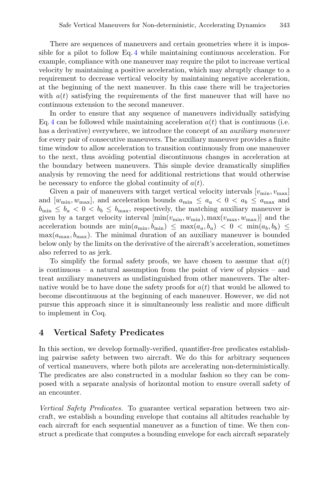There are sequences of maneuvers and certain geometries where it is impossible for a pilot to follow Eq. [4](#page-6-1) while maintaining continuous acceleration. For example, compliance with one maneuver may require the pilot to increase vertical velocity by maintaining a positive acceleration, which may abruptly change to a requirement to decrease vertical velocity by maintaining negative acceleration, at the beginning of the next maneuver. In this case there will be trajectories with  $a(t)$  satisfying the requirements of the first maneuver that will have no continuous extension to the second maneuver.

In order to ensure that any sequence of maneuvers individually satisfying Eq. [4](#page-6-1) can be followed while maintaining acceleration  $a(t)$  that is continuous (i.e. has a derivative) everywhere, we introduce the concept of an *auxiliary maneuver* for every pair of consecutive maneuvers. The auxiliary maneuver provides a finite time window to allow acceleration to transition continuously from one maneuver to the next, thus avoiding potential discontinuous changes in acceleration at the boundary between maneuvers. This simple device dramatically simplifies analysis by removing the need for additional restrictions that would otherwise be necessary to enforce the global continuity of  $a(t)$ .

Given a pair of maneuvers with target vertical velocity intervals  $[v_{\min}, v_{\max}]$ and  $[w_{\text{min}}, w_{\text{max}}]$ , and acceleration bounds  $a_{\text{min}} \le a_a < 0 < a_b \le a_{\text{max}}$  and  $b_{\min} \leq b_a < 0 < b_b \leq b_{\max}$ , respectively, the matching auxiliary maneuver is given by a target velocity interval  $[\min(v_{\min}, w_{\min}), \max(v_{\max}, w_{\max})]$  and the acceleration bounds are  $\min(a_{\min}, b_{\min}) \leq \max(a_a, b_a) < 0 < \min(a_b, b_b) \leq$  $\max(a_{\text{max}}, b_{\text{max}})$ . The minimal duration of an auxiliary maneuver is bounded below only by the limits on the derivative of the aircraft's acceleration, sometimes also referred to as jerk.

To simplify the formal safety proofs, we have chosen to assume that  $a(t)$ is continuous – a natural assumption from the point of view of physics – and treat auxiliary maneuvers as undistinguished from other maneuvers. The alternative would be to have done the safety proofs for  $a(t)$  that would be allowed to become discontinuous at the beginning of each maneuver. However, we did not pursue this approach since it is simultaneously less realistic and more difficult to implement in Coq.

#### <span id="page-7-0"></span>**4 Vertical Safety Predicates**

In this section, we develop formally-verified, quantifier-free predicates establishing pairwise safety between two aircraft. We do this for arbitrary sequences of vertical maneuvers, where both pilots are accelerating non-deterministically. The predicates are also constructed in a modular fashion so they can be composed with a separate analysis of horizontal motion to ensure overall safety of an encounter.

*Vertical Safety Predicates.* To guarantee vertical separation between two aircraft, we establish a bounding envelope that contains all altitudes reachable by each aircraft for each sequential maneuver as a function of time. We then construct a predicate that computes a bounding envelope for each aircraft separately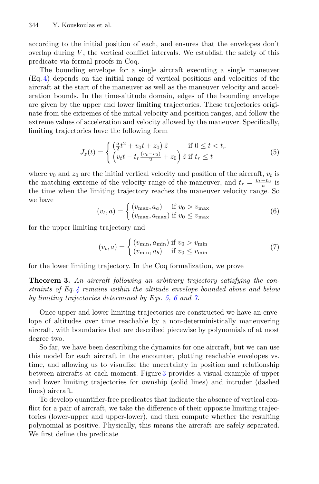according to the initial position of each, and ensures that the envelopes don't overlap during  $V$ , the vertical conflict intervals. We establish the safety of this predicate via formal proofs in Coq.

The bounding envelope for a single aircraft executing a single maneuver (Eq. [4\)](#page-6-1) depends on the initial range of vertical positions and velocities of the aircraft at the start of the maneuver as well as the maneuver velocity and acceleration bounds. In the time-altitude domain, edges of the bounding envelope are given by the upper and lower limiting trajectories. These trajectories originate from the extremes of the initial velocity and position ranges, and follow the extreme values of acceleration and velocity allowed by the maneuver. Specifically, limiting trajectories have the following form

$$
J_z(t) = \begin{cases} \left(\frac{a}{2}t^2 + v_0t + z_0\right)\hat{z} & \text{if } 0 \le t < t_r\\ \left(v_t t - t_r \frac{(v_t - v_0)}{2} + z_0\right)\hat{z} & \text{if } t_r \le t \end{cases}
$$
(5)

<span id="page-8-0"></span>where  $v_0$  and  $z_0$  are the initial vertical velocity and position of the aircraft,  $v_t$  is the matching extreme of the velocity range of the maneuver, and  $t_r = \frac{v_t - v_0}{a}$  is the time when the limiting trajectory reaches the maneuver velocity range. So we have

$$
(v_t, a) = \begin{cases} (v_{\text{max}}, a_a) & \text{if } v_0 > v_{\text{max}} \\ (v_{\text{max}}, a_{\text{max}}) & \text{if } v_0 \le v_{\text{max}} \end{cases} \tag{6}
$$

<span id="page-8-2"></span><span id="page-8-1"></span>for the upper limiting trajectory and

$$
(v_t, a) = \begin{cases} (v_{\min}, a_{\min}) & \text{if } v_0 > v_{\min} \\ (v_{\min}, a_b) & \text{if } v_0 \le v_{\min} \end{cases}
$$
 (7)

for the lower limiting trajectory. In the Coq formalization, we prove

**Theorem 3.** *An aircraft following an arbitrary trajectory satisfying the constraints of Eq. [4](#page-6-1) remains within the altitude envelope bounded above and below by limiting trajectories determined by Eqs. [5,](#page-8-0) [6](#page-8-1) and [7.](#page-8-2)*

Once upper and lower limiting trajectories are constructed we have an envelope of altitudes over time reachable by a non-deterministically maneuvering aircraft, with boundaries that are described piecewise by polynomials of at most degree two.

So far, we have been describing the dynamics for one aircraft, but we can use this model for each aircraft in the encounter, plotting reachable envelopes vs. time, and allowing us to visualize the uncertainty in position and relationship between aircrafts at each moment. Figure [3](#page-5-0) provides a visual example of upper and lower limiting trajectories for ownship (solid lines) and intruder (dashed lines) aircraft.

To develop quantifier-free predicates that indicate the absence of vertical conflict for a pair of aircraft, we take the difference of their opposite limiting trajectories (lower-upper and upper-lower), and then compute whether the resulting polynomial is positive. Physically, this means the aircraft are safely separated. We first define the predicate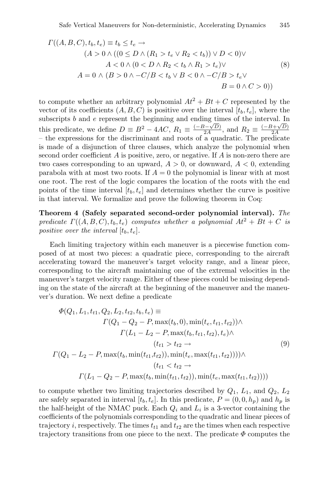$$
\Gamma((A, B, C), t_b, t_e) \equiv t_b \le t_e \to \n(A > 0 \land ((0 \le D \land (R_1 > t_e \lor R_2 < t_b)) \lor D < 0) \lor \nA < 0 \land (0 < D \land R_2 < t_b \land R_1 > t_e) \lor \nA = 0 \land (B > 0 \land -C/B < t_b \lor B < 0 \land -C/B > t_e \lor \nB = 0 \land C > 0))
$$
\n(8)

to compute whether an arbitrary polynomial  $At^2 + Bt + C$  represented by the vector of its coefficients  $(A, B, C)$  is positive over the interval  $[t_b, t_e]$ , where the subscripts b and e represent the beginning and ending times of the interval. In this predicate, we define  $D \equiv B^2 - 4AC$ ,  $R_1 \equiv \frac{(-B-\sqrt{D})}{2A}$ , and  $R_2 \equiv \frac{(-B+\sqrt{D})}{2A}$  – the expressions for the discriminant and roots of a quadratic. The predicate is made of a disjunction of three clauses, which analyze the polynomial when second order coefficient  $A$  is positive, zero, or negative. If  $A$  is non-zero there are two cases corresponding to an upward,  $A > 0$ , or downward,  $A < 0$ , extending parabola with at most two roots. If  $A = 0$  the polynomial is linear with at most one root. The rest of the logic compares the location of the roots with the end points of the time interval  $[t_b, t_e]$  and determines whether the curve is positive in that interval. We formalize and prove the following theorem in Coq:

**Theorem 4 (Safely separated second-order polynomial interval).** *The predicate*  $\Gamma((A, B, C), t_b, t_e)$  *computes whether a polynomial*  $At^2 + Bt + C$  *is positive over the interval*  $[t_b, t_e]$ *.* 

Each limiting trajectory within each maneuver is a piecewise function composed of at most two pieces: a quadratic piece, corresponding to the aircraft accelerating toward the maneuver's target velocity range, and a linear piece, corresponding to the aircraft maintaining one of the extremal velocities in the maneuver's target velocity range. Either of these pieces could be missing depending on the state of the aircraft at the beginning of the maneuver and the maneuver's duration. We next define a predicate

$$
\Phi(Q_1, L_1, t_{t1}, Q_2, L_2, t_{t2}, t_b, t_e) \equiv
$$
\n
$$
\Gamma(Q_1 - Q_2 - P, \max(t_b, 0), \min(t_e, t_{t1}, t_{t2})) \wedge
$$
\n
$$
\Gamma(L_1 - L_2 - P, \max(t_b, t_{t1}, t_{t2}), t_e) \wedge
$$
\n
$$
(t_{t1} > t_{t2} \rightarrow
$$
\n
$$
\Gamma(Q_1 - L_2 - P, \max(t_b, \min(t_{t1}, t_{t2})), \min(t_e, \max(t_{t1}, t_{t2})))) \wedge
$$
\n
$$
(t_{t1} < t_{t2} \rightarrow
$$
\n
$$
\Gamma(L_1 - Q_2 - P, \max(t_b, \min(t_{t1}, t_{t2})), \min(t_e, \max(t_{t1}, t_{t2}))))
$$
\n(9)

to compute whether two limiting trajectories described by  $Q_1$ ,  $L_1$ , and  $Q_2$ ,  $L_2$ are safely separated in interval  $[t_b, t_e]$ . In this predicate,  $P = (0, 0, h_p)$  and  $h_p$  is the half-height of the NMAC puck. Each  $Q_i$  and  $L_i$  is a 3-vector containing the coefficients of the polynomials corresponding to the quadratic and linear pieces of trajectory i, respectively. The times  $t_{t1}$  and  $t_{t2}$  are the times when each respective trajectory transitions from one piece to the next. The predicate  $\Phi$  computes the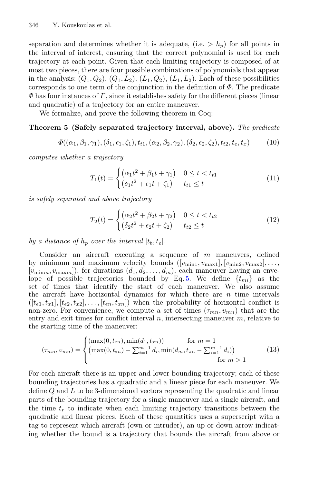separation and determines whether it is adequate, (i.e.  $> h<sub>p</sub>$ ) for all points in the interval of interest, ensuring that the correct polynomial is used for each trajectory at each point. Given that each limiting trajectory is composed of at most two pieces, there are four possible combinations of polynomials that appear in the analysis:  $(Q_1, Q_2), (Q_1, L_2), (L_1, Q_2), (L_1, L_2)$ . Each of these possibilities corresponds to one term of the conjunction in the definition of  $\Phi$ . The predicate  $\Phi$  has four instances of  $\Gamma$ , since it establishes safety for the different pieces (linear and quadratic) of a trajectory for an entire maneuver.

We formalize, and prove the following theorem in Coq:

#### **Theorem 5 (Safely separated trajectory interval, above).** *The predicate*

$$
\Phi((\alpha_1,\beta_1,\gamma_1),(\delta_1,\epsilon_1,\zeta_1),t_{t1},(\alpha_2,\beta_2,\gamma_2),(\delta_2,\epsilon_2,\zeta_2),t_{t2},t_e,t_x)
$$
(10)

*computes whether a trajectory*

$$
T_1(t) = \begin{cases} \left(\alpha_1 t^2 + \beta_1 t + \gamma_1\right) & 0 \le t < t_{t1} \\ \left(\delta_1 t^2 + \epsilon_1 t + \zeta_1\right) & t_{t1} \le t \end{cases}
$$
\n(11)

*is safely separated and above trajectory*

$$
T_2(t) = \begin{cases} \left(\alpha_2 t^2 + \beta_2 t + \gamma_2\right) & 0 \le t < t_{t2} \\ \left(\delta_2 t^2 + \epsilon_2 t + \zeta_2\right) & t_{t2} \le t \end{cases}
$$
(12)

*by a distance of*  $h_p$  *over the interval*  $[t_b, t_e]$ *.* 

Consider an aircraft executing a sequence of m maneuvers, defined by minimum and maximum velocity bounds  $([v_{\min1}, v_{\max1}], [v_{\min2}, v_{\max2}], \ldots,$  $[v_{\min m}, v_{\max m}]\)$ , for durations  $(d_1, d_2, \ldots, d_m)\$ , each maneuver having an enve-lope of possible trajectories bounded by Eq. [5.](#page-8-0) We define  $\{t_{mi}\}$  as the set of times that identify the start of each maneuver. We also assume the aircraft have horizontal dynamics for which there are  $n$  time intervals  $([t_{e1}, t_{x1}], [t_{e2}, t_{x2}], \ldots, [t_{en}, t_{xn}])$  when the probability of horizontal conflict is non-zero. For convenience, we compute a set of times  $(\tau_{mn}, \nu_{mn})$  that are the entry and exit times for conflict interval  $n$ , intersecting maneuver  $m$ , relative to the starting time of the maneuver:

$$
(\tau_{mn}, \nu_{mn}) = \begin{cases} (\max(0, t_{en}), \min(d_1, t_{xn})) & \text{for } m = 1\\ (\max(0, t_{en}) - \sum_{i=1}^{m-1} d_i, \min(d_m, t_{xn} - \sum_{i=1}^{m-1} d_i)) & \text{for } m > 1 \end{cases}
$$
(13)

For each aircraft there is an upper and lower bounding trajectory; each of these bounding trajectories has a quadratic and a linear piece for each maneuver. We define Q and L to be 3-dimensional vectors representing the quadratic and linear parts of the bounding trajectory for a single maneuver and a single aircraft, and the time  $t_r$  to indicate when each limiting trajectory transitions between the quadratic and linear pieces. Each of these quantities uses a superscript with a tag to represent which aircraft (own or intruder), an up or down arrow indicating whether the bound is a trajectory that bounds the aircraft from above or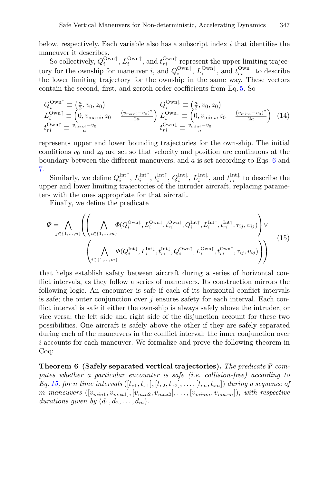below, respectively. Each variable also has a subscript index i that identifies the maneuver it describes.

So collectively,  $Q_i^{\text{Own}\uparrow}$ ,  $L_i^{\text{Own}\uparrow}$ , and  $t_{ri}^{\text{Own}\uparrow}$  represent the upper limiting trajectory for the ownship for maneuver *i*, and  $Q_i^{\text{Ownl}}$ ,  $L_i^{\text{Ownl}}$ , and  $t_{ri}^{\text{Ownl}}$  to describe the lower limiting trajectory for the ownship in the same way. These vectors contain the second, first, and zeroth order coefficients from Eq. [5.](#page-8-0) So

$$
Q_i^{\text{Own}\uparrow} \equiv \left(\frac{a}{2}, v_0, z_0\right) \qquad Q_i^{\text{Own}\downarrow} \equiv \left(\frac{a}{2}, v_0, z_0\right) L_i^{\text{Own}\uparrow} \equiv \left(0, v_{\text{max}i}, z_0 - \frac{(v_{\text{max}i} - v_0)^2}{2a}\right) L_i^{\text{Own}\downarrow} \equiv \left(0, v_{\text{min}i}, z_0 - \frac{(v_{\text{min}i} - v_0)^2}{2a}\right) (14) L_i^{\text{Own}\uparrow} \equiv \frac{v_{\text{max}i} - v_0}{a}
$$

represents upper and lower bounding trajectories for the own-ship. The initial conditions  $v_0$  and  $z_0$  are set so that velocity and position are continuous at the boundary between the different maneuvers, and  $a$  is set according to Eqs.  $6$  and [7.](#page-8-2)

Similarly, we define  $Q_i^{\text{Int} \uparrow}$ ,  $L_i^{\text{Int} \uparrow}$ ,  $d_i^{\text{Int} \downarrow}$ ,  $Q_i^{\text{Int} \downarrow}$ ,  $L_i^{\text{Int} \downarrow}$ , and  $t_{ri}^{\text{Int} \downarrow}$  to describe the upper and lower limiting trajectories of the intruder aircraft, replacing parameters with the ones appropriate for that aircraft.

Finally, we define the predicate

<span id="page-11-0"></span>
$$
\Psi = \bigwedge_{j \in \{1,\ldots,n\}} \left( \left( \bigwedge_{i \in \{1,\ldots,m\}} \Phi(Q_i^{\text{Ownl}}, L_i^{\text{Ownl}}, t_{ri}^{\text{Ownl}}, Q_i^{\text{Int} \dagger}, L_i^{\text{Int} \dagger}, t_{ri}^{\text{Int} \dagger}, \tau_{ij}, v_{ij}) \right) \vee \left( \bigwedge_{i \in \{1,\ldots,m\}} \Phi(Q_i^{\text{Int} \dagger}, L_i^{\text{Int} \dagger}, t_{ri}^{\text{Int} \dagger}, Q_i^{\text{Own} \dagger}, L_i^{\text{Own} \dagger}, t_{ri}^{\text{Own} \dagger}, \tau_{ij}, v_{ij}) \right) \right)
$$
(15)

that helps establish safety between aircraft during a series of horizontal conflict intervals, as they follow a series of maneuvers. Its construction mirrors the following logic. An encounter is safe if each of its horizontal conflict intervals is safe; the outer conjunction over  $j$  ensures safety for each interval. Each conflict interval is safe if either the own-ship is always safely above the intruder, or vice versa; the left side and right side of the disjunction account for these two possibilities. One aircraft is safely above the other if they are safely separated during each of the maneuvers in the conflict interval; the inner conjunction over i accounts for each maneuver. We formalize and prove the following theorem in Coq:

**Theorem 6 (Safely separated vertical trajectories).** *The predicate* Ψ *computes whether a particular encounter is safe (i.e. collision-free) according to Eq.* [15,](#page-11-0) for *n* time intervals  $([t_{e1}, t_{x1}], [t_{e2}, t_{x2}], \ldots, [t_{en}, t_{xn}])$  during a sequence of *m* maneuvers  $([v_{min1}, v_{max1}], [v_{min2}, v_{max2}], \ldots, [v_{minm}, v_{maxm}]),$  with respective *durations given by*  $(d_1, d_2, \ldots, d_m)$ *.*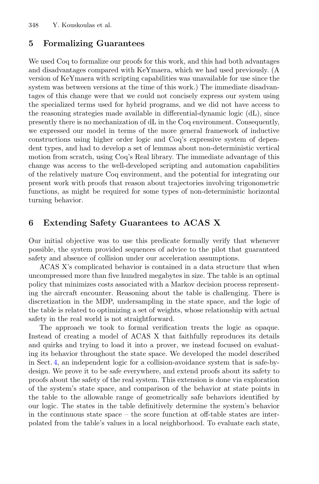## <span id="page-12-0"></span>**5 Formalizing Guarantees**

We used Coq to formalize our proofs for this work, and this had both advantages and disadvantages compared with KeYmaera, which we had used previously. (A version of KeYmaera with scripting capabilities was unavailable for use since the system was between versions at the time of this work.) The immediate disadvantages of this change were that we could not concisely express our system using the specialized terms used for hybrid programs, and we did not have access to the reasoning strategies made available in differential-dynamic logic (dL), since presently there is no mechanization of dL in the Coq environment. Consequently, we expressed our model in terms of the more general framework of inductive constructions using higher order logic and Coq's expressive system of dependent types, and had to develop a set of lemmas about non-deterministic vertical motion from scratch, using Coq's Real library. The immediate advantage of this change was access to the well-developed scripting and automation capabilities of the relatively mature Coq environment, and the potential for integrating our present work with proofs that reason about trajectories involving trigonometric functions, as might be required for some types of non-deterministic horizontal turning behavior.

## <span id="page-12-1"></span>**6 Extending Safety Guarantees to ACAS X**

Our initial objective was to use this predicate formally verify that whenever possible, the system provided sequences of advice to the pilot that guaranteed safety and absence of collision under our acceleration assumptions.

ACAS X's complicated behavior is contained in a data structure that when uncompressed more than five hundred megabytes in size. The table is an optimal policy that minimizes costs associated with a Markov decision process representing the aircraft encounter. Reasoning about the table is challenging. There is discretization in the MDP, undersampling in the state space, and the logic of the table is related to optimizing a set of weights, whose relationship with actual safety in the real world is not straightforward.

The approach we took to formal verification treats the logic as opaque. Instead of creating a model of ACAS X that faithfully reproduces its details and quirks and trying to load it into a prover, we instead focused on evaluating its behavior throughout the state space. We developed the model described in Sect. [4,](#page-7-0) an independent logic for a collision-avoidance system that is safe-bydesign. We prove it to be safe everywhere, and extend proofs about its safety to proofs about the safety of the real system. This extension is done via exploration of the system's state space, and comparison of the behavior at state points in the table to the allowable range of geometrically safe behaviors identified by our logic. The states in the table definitively determine the system's behavior in the continuous state space – the score function at off-table states are interpolated from the table's values in a local neighborhood. To evaluate each state,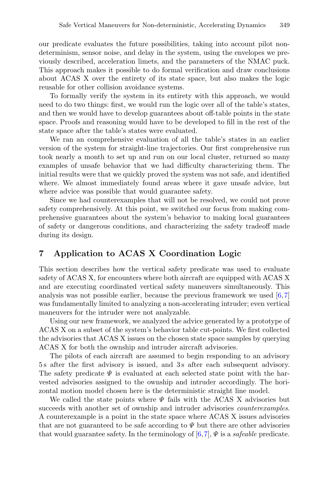our predicate evaluates the future possibilities, taking into account pilot nondeterminism, sensor noise, and delay in the system, using the envelopes we previously described, acceleration limets, and the parameters of the NMAC puck. This approach makes it possible to do formal verification and draw conclusions about ACAS X over the entirety of its state space, but also makes the logic reusable for other collision avoidance systems.

To formally verify the system in its entirety with this approach, we would need to do two things: first, we would run the logic over all of the table's states, and then we would have to develop guarantees about off-table points in the state space. Proofs and reasoning would have to be developed to fill in the rest of the state space after the table's states were evaluated.

We ran an comprehensive evaluation of all the table's states in an earlier version of the system for straight-line trajectories. Our first comprehensive run took nearly a month to set up and run on our local cluster, returned so many examples of unsafe behavior that we had difficulty characterizing them. The initial results were that we quickly proved the system was not safe, and identified where. We almost immediately found areas where it gave unsafe advice, but where advice was possible that would guarantee safety.

Since we had counterexamples that will not be resolved, we could not prove safety comprehensively. At this point, we switched our focus from making comprehensive guarantees about the system's behavior to making local guarantees of safety or dangerous conditions, and characterizing the safety tradeoff made during its design.

# <span id="page-13-0"></span>**7 Application to ACAS X Coordination Logic**

This section describes how the vertical safety predicate was used to evaluate safety of ACAS X, for encounters where both aircraft are equipped with ACAS X and are executing coordinated vertical safety maneuvers simultaneously. This analysis was not possible earlier, because the previous framework we used [\[6,](#page-16-2)[7\]](#page-16-3) was fundamentally limited to analyzing a non-accelerating intruder; even vertical maneuvers for the intruder were not analyzable.

Using our new framework, we analyzed the advice generated by a prototype of ACAS X on a subset of the system's behavior table cut-points. We first collected the advisories that ACAS X issues on the chosen state space samples by querying ACAS X for both the ownship and intruder aircraft advisories.

The pilots of each aircraft are assumed to begin responding to an advisory 5 s after the first advisory is issued, and 3 s after each subsequent advisory. The safety predicate  $\Psi$  is evaluated at each selected state point with the harvested advisories assigned to the ownship and intruder accordingly. The horizontal motion model chosen here is the deterministic straight line model.

We called the state points where  $\Psi$  fails with the ACAS X advisories but succeeds with another set of ownship and intruder advisories *counterexamples*. A counterexample is a point in the state space where ACAS X issues advisories that are not guaranteed to be safe according to  $\Psi$  but there are other advisories that would guarantee safety. In the terminology of [\[6](#page-16-2)[,7](#page-16-3)], Ψ is a *safeable* predicate.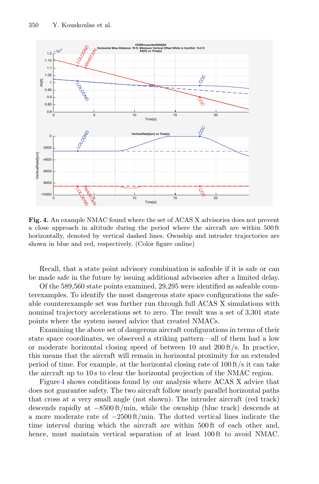

<span id="page-14-0"></span>**Fig. 4.** An example NMAC found where the set of ACAS X advisories does not prevent a close approach in altitude during the period where the aircraft are within 500 ft horizontally, denoted by vertical dashed lines. Ownship and intruder trajectories are shown in blue and red, respectively. (Color figure online)

Recall, that a state point advisory combination is safeable if it is safe or can be made safe in the future by issuing additional advisories after a limited delay.

Of the 589,560 state points examined, 29,295 were identified as safeable counterexamples. To identify the most dangerous state space configurations the safeable counterexample set was further run through full ACAS X simulations with nominal trajectory accelerations set to zero. The result was a set of 3,301 state points where the system issued advice that created NMACs.

Examining the above set of dangerous aircraft configurations in terms of their state space coordinates, we observed a striking pattern—all of them had a low or moderate horizontal closing speed of between  $10$  and  $200 \text{ ft/s}$ . In practice, this means that the aircraft will remain in horizontal proximity for an extended period of time. For example, at the horizontal closing rate of  $100 \text{ ft/s}$  it can take the aircraft up to 10 s to clear the horizontal projection of the NMAC region.

Figure [4](#page-14-0) shows conditions found by our analysis where ACAS X advice that does not guarantee safety. The two aircraft follow nearly parallel horizontal paths that cross at a very small angle (not shown). The intruder aircraft (red track) descends rapidly at −8500 ft/min, while the ownship (blue track) descends at a more moderate rate of −2500 ft/min. The dotted vertical lines indicate the time interval during which the aircraft are within 500 ft of each other and, hence, must maintain vertical separation of at least 100 ft to avoid NMAC.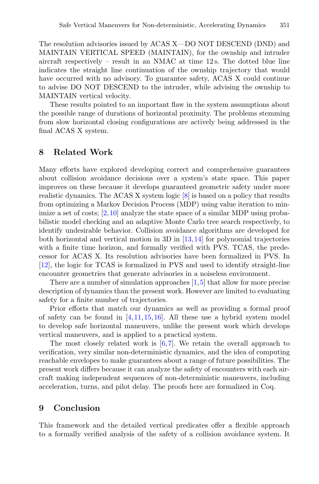The resolution advisories issued by ACAS X—DO NOT DESCEND (DND) and MAINTAIN VERTICAL SPEED (MAINTAIN), for the ownship and intruder aircraft respectively – result in an NMAC at time  $12$  s. The dotted blue line indicates the straight line continuation of the ownship trajectory that would have occurred with no advisory. To guarantee safety, ACAS X could continue to advise DO NOT DESCEND to the intruder, while advising the ownship to MAINTAIN vertical velocity.

These results pointed to an important flaw in the system assumptions about the possible range of durations of horizontal proximity. The problems stemming from slow horizontal closing configurations are actively being addressed in the final ACAS X system.

#### <span id="page-15-0"></span>**8 Related Work**

Many efforts have explored developing correct and comprehensive guarantees about collision avoidance decisions over a system's state space. This paper improves on these because it develops guaranteed geometric safety under more realistic dynamics. The ACAS X system logic [\[8\]](#page-16-4) is based on a policy that results from optimizing a Markov Decision Process (MDP) using value iteration to minimize a set of costs;  $[2,10]$  $[2,10]$  analyze the state space of a similar MDP using probabilistic model checking and an adaptive Monte Carlo tree search respectively, to identify undesirable behavior. Collision avoidance algorithms are developed for both horizontal and vertical motion in  $3D$  in [\[13,](#page-17-0)[14\]](#page-17-1) for polynomial trajectories with a finite time horizon, and formally verified with PVS. TCAS, the predecessor for ACAS X. Its resolution advisories have been formalized in PVS. In [\[12](#page-16-7)], the logic for TCAS is formalized in PVS and used to identify straight-line encounter geometries that generate advisories in a noiseless environment.

There are a number of simulation approaches [\[1](#page-16-8)[,5](#page-16-9)] that allow for more precise description of dynamics than the present work. However are limited to evaluating safety for a finite number of trajectories.

Prior efforts that match our dynamics as well as providing a formal proof of safety can be found in  $[4,11,15,16]$  $[4,11,15,16]$  $[4,11,15,16]$  $[4,11,15,16]$  $[4,11,15,16]$  $[4,11,15,16]$ . All these use a hybrid system model to develop safe horizontal maneuvers, unlike the present work which develops vertical maneuvers, and is applied to a practical system.

The most closely related work is [\[6,](#page-16-2)[7\]](#page-16-3). We retain the overall approach to verification, very similar non-deterministic dynamics, and the idea of computing reachable envelopes to make guarantees about a range of future possibilities. The present work differs because it can analyze the safety of encounters with each aircraft making independent sequences of non-deterministic maneuvers, including acceleration, turns, and pilot delay. The proofs here are formalized in Coq.

#### <span id="page-15-1"></span>**9 Conclusion**

This framework and the detailed vertical predicates offer a flexible approach to a formally verified analysis of the safety of a collision avoidance system. It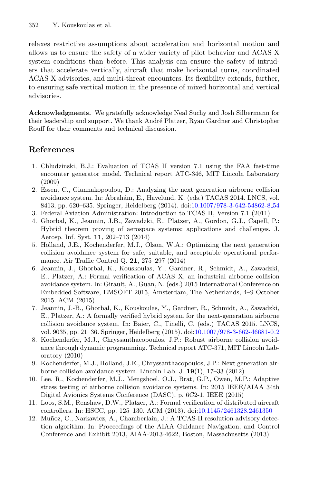relaxes restrictive assumptions about acceleration and horizontal motion and allows us to ensure the safety of a wider variety of pilot behavior and ACAS X system conditions than before. This analysis can ensure the safety of intruders that accelerate vertically, aircraft that make horizontal turns, coordinated ACAS X advisories, and multi-threat encounters. Its flexibility extends, further, to ensuring safe vertical motion in the presence of mixed horizontal and vertical advisories.

**Acknowledgments.** We gratefully acknowledge Neal Suchy and Josh Silbermann for their leadership and support. We thank André Platzer, Ryan Gardner and Christopher Rouff for their comments and technical discussion.

# <span id="page-16-8"></span>**References**

- 1. Chludzinski, B.J.: Evaluation of TCAS II version 7.1 using the FAA fast-time encounter generator model. Technical report ATC-346, MIT Lincoln Laboratory (2009)
- <span id="page-16-5"></span>2. Essen, C., Giannakopoulou, D.: Analyzing the next generation airborne collision avoidance system. In: Ábrahám, E., Havelund, K. (eds.) TACAS 2014. LNCS, vol. 8413, pp. 620–635. Springer, Heidelberg (2014). doi[:10.1007/978-3-642-54862-8](http://dx.doi.org/10.1007/978-3-642-54862-8_54) 54
- <span id="page-16-0"></span>3. Federal Aviation Administration: Introduction to TCAS II, Version 7.1 (2011)
- <span id="page-16-10"></span>4. Ghorbal, K., Jeannin, J.B., Zawadzki, E., Platzer, A., Gordon, G.J., Capell, P.: Hybrid theorem proving of aerospace systems: applications and challenges. J. Aerosp. Inf. Syst. **11**, 202–713 (2014)
- <span id="page-16-9"></span>5. Holland, J.E., Kochenderfer, M.J., Olson, W.A.: Optimizing the next generation collision avoidance system for safe, suitable, and acceptable operational performance. Air Traffic Control Q. **21**, 275–297 (2014)
- <span id="page-16-2"></span>6. Jeannin, J., Ghorbal, K., Kouskoulas, Y., Gardner, R., Schmidt, A., Zawadzki, E., Platzer, A.: Formal verification of ACAS X, an industrial airborne collision avoidance system. In: Girault, A., Guan, N. (eds.) 2015 International Conference on Embedded Software, EMSOFT 2015, Amsterdam, The Netherlands, 4–9 October 2015. ACM (2015)
- <span id="page-16-3"></span>7. Jeannin, J.-B., Ghorbal, K., Kouskoulas, Y., Gardner, R., Schmidt, A., Zawadzki, E., Platzer, A.: A formally verified hybrid system for the next-generation airborne collision avoidance system. In: Baier, C., Tinelli, C. (eds.) TACAS 2015. LNCS, vol. 9035, pp. 21–36. Springer, Heidelberg (2015). doi[:10.1007/978-3-662-46681-0](http://dx.doi.org/10.1007/978-3-662-46681-0_2) 2
- <span id="page-16-4"></span>8. Kochenderfer, M.J., Chryssanthacopoulos, J.P.: Robust airborne collision avoidance through dynamic programming. Technical report ATC-371, MIT Lincoln Laboratory (2010)
- <span id="page-16-1"></span>9. Kochenderfer, M.J., Holland, J.E., Chryssanthacopoulos, J.P.: Next generation airborne collision avoidance system. Lincoln Lab. J. **19**(1), 17–33 (2012)
- <span id="page-16-6"></span>10. Lee, R., Kochenderfer, M.J., Mengshoel, O.J., Brat, G.P., Owen, M.P.: Adaptive stress testing of airborne collision avoidance systems. In: 2015 IEEE/AIAA 34th Digital Avionics Systems Conference (DASC), p. 6C2-1. IEEE (2015)
- <span id="page-16-11"></span>11. Loos, S.M., Renshaw, D.W., Platzer, A.: Formal verification of distributed aircraft controllers. In: HSCC, pp. 125–130. ACM (2013). doi[:10.1145/2461328.2461350](http://dx.doi.org/10.1145/2461328.2461350)
- <span id="page-16-7"></span>12. Muñoz, C., Narkawicz, A., Chamberlain, J.: A TCAS-II resolution advisory detection algorithm. In: Proceedings of the AIAA Guidance Navigation, and Control Conference and Exhibit 2013, AIAA-2013-4622, Boston, Massachusetts (2013)